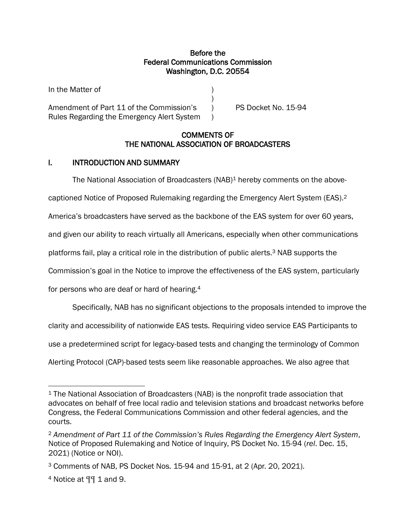### Before the Federal Communications Commission Washington, D.C. 20554

)

In the Matter of )

Amendment of Part 11 of the Commission's (a) PS Docket No. 15-94 Rules Regarding the Emergency Alert System )

## COMMENTS OF THE NATIONAL ASSOCIATION OF BROADCASTERS

# I. INTRODUCTION AND SUMMARY

The National Association of Broadcasters  $(NAB)^1$  hereby comments on the above-

captioned Notice of Proposed Rulemaking regarding the Emergency Alert System (EAS).<sup>2</sup>

America's broadcasters have served as the backbone of the EAS system for over 60 years,

and given our ability to reach virtually all Americans, especially when other communications

platforms fail, play a critical role in the distribution of public alerts. <sup>3</sup> NAB supports the

Commission's goal in the Notice to improve the effectiveness of the EAS system, particularly

for persons who are deaf or hard of hearing.<sup>4</sup>

Specifically, NAB has no significant objections to the proposals intended to improve the

clarity and accessibility of nationwide EAS tests. Requiring video service EAS Participants to

use a predetermined script for legacy-based tests and changing the terminology of Common

Alerting Protocol (CAP)-based tests seem like reasonable approaches. We also agree that

<sup>1</sup> The National Association of Broadcasters (NAB) is the nonprofit trade association that advocates on behalf of free local radio and television stations and broadcast networks before Congress, the Federal Communications Commission and other federal agencies, and the courts.

<sup>2</sup> *Amendment of Part 11 of the Commission's Rules Regarding the Emergency Alert System*, Notice of Proposed Rulemaking and Notice of Inquiry, PS Docket No. 15-94 (*rel*. Dec. 15, 2021) (Notice or NOI).

<sup>3</sup> Comments of NAB, PS Docket Nos. 15-94 and 15-91, at 2 (Apr. 20, 2021).

<sup>4</sup> Notice at ¶¶ 1 and 9.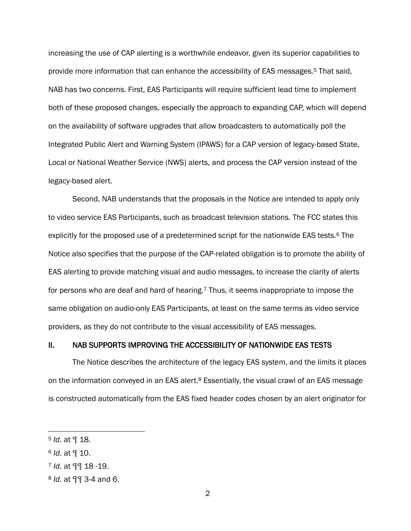increasing the use of CAP alerting is a worthwhile endeavor, given its superior capabilities to provide more information that can enhance the accessibility of EAS messages.<sup>5</sup> That said, NAB has two concerns. First, EAS Participants will require sufficient lead time to implement both of these proposed changes, especially the approach to expanding CAP, which will depend on the availability of software upgrades that allow broadcasters to automatically poll the Integrated Public Alert and Warning System (IPAWS) for a CAP version of legacy-based State, Local or National Weather Service (NWS) alerts, and process the CAP version instead of the legacy-based alert.

Second, NAB understands that the proposals in the Notice are intended to apply only to video service EAS Participants, such as broadcast television stations. The FCC states this explicitly for the proposed use of a predetermined script for the nationwide EAS tests.<sup>6</sup> The Notice also specifies that the purpose of the CAP-related obligation is to promote the ability of EAS alerting to provide matching visual and audio messages, to increase the clarity of alerts for persons who are deaf and hard of hearing.<sup>7</sup> Thus, it seems inappropriate to impose the same obligation on audio-only EAS Participants, at least on the same terms as video service providers, as they do not contribute to the visual accessibility of EAS messages.

### II. NAB SUPPORTS IMPROVING THE ACCESSIBILITY OF NATIONWIDE EAS TESTS

The Notice describes the architecture of the legacy EAS system, and the limits it places on the information conveyed in an EAS alert.<sup>8</sup> Essentially, the visual crawl of an EAS message is constructed automatically from the EAS fixed header codes chosen by an alert originator for

<sup>5</sup> *Id*. at ¶ 18.

<sup>6</sup> *Id*. at ¶ 10.

<sup>7</sup> *Id*. at ¶¶ 18 -19.

<sup>8</sup> *Id*. at ¶¶ 3-4 and 6.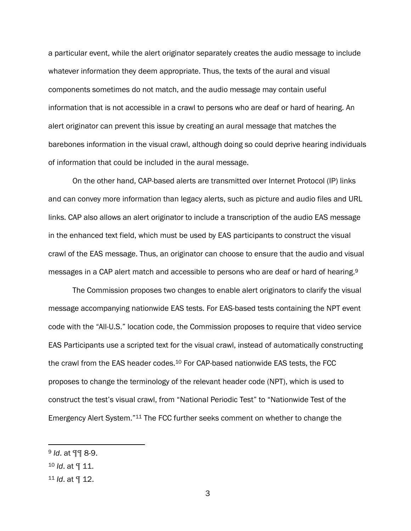a particular event, while the alert originator separately creates the audio message to include whatever information they deem appropriate. Thus, the texts of the aural and visual components sometimes do not match, and the audio message may contain useful information that is not accessible in a crawl to persons who are deaf or hard of hearing. An alert originator can prevent this issue by creating an aural message that matches the barebones information in the visual crawl, although doing so could deprive hearing individuals of information that could be included in the aural message.

On the other hand, CAP-based alerts are transmitted over Internet Protocol (IP) links and can convey more information than legacy alerts, such as picture and audio files and URL links. CAP also allows an alert originator to include a transcription of the audio EAS message in the enhanced text field, which must be used by EAS participants to construct the visual crawl of the EAS message. Thus, an originator can choose to ensure that the audio and visual messages in a CAP alert match and accessible to persons who are deaf or hard of hearing.<sup>9</sup>

The Commission proposes two changes to enable alert originators to clarify the visual message accompanying nationwide EAS tests. For EAS-based tests containing the NPT event code with the "All-U.S." location code, the Commission proposes to require that video service EAS Participants use a scripted text for the visual crawl, instead of automatically constructing the crawl from the EAS header codes.<sup>10</sup> For CAP-based nationwide EAS tests, the FCC proposes to change the terminology of the relevant header code (NPT), which is used to construct the test's visual crawl, from "National Periodic Test" to "Nationwide Test of the Emergency Alert System."<sup>11</sup> The FCC further seeks comment on whether to change the

<sup>9</sup> *Id*. at ¶¶ 8-9.

<sup>10</sup> *Id*. at ¶ 11.

<sup>11</sup> *Id*. at ¶ 12.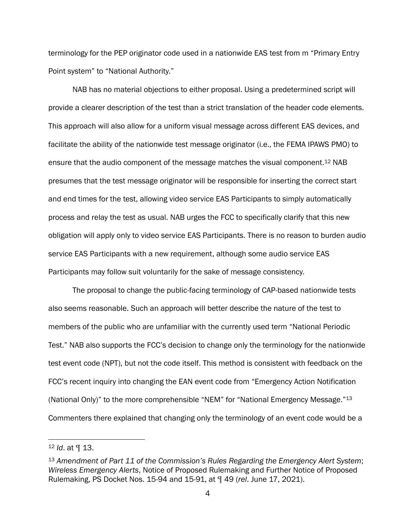terminology for the PEP originator code used in a nationwide EAS test from m "Primary Entry Point system" to "National Authority."

NAB has no material objections to either proposal. Using a predetermined script will provide a clearer description of the test than a strict translation of the header code elements. This approach will also allow for a uniform visual message across different EAS devices, and facilitate the ability of the nationwide test message originator (i.e., the FEMA IPAWS PMO) to ensure that the audio component of the message matches the visual component.<sup>12</sup> NAB presumes that the test message originator will be responsible for inserting the correct start and end times for the test, allowing video service EAS Participants to simply automatically process and relay the test as usual. NAB urges the FCC to specifically clarify that this new obligation will apply only to video service EAS Participants. There is no reason to burden audio service EAS Participants with a new requirement, although some audio service EAS Participants may follow suit voluntarily for the sake of message consistency.

The proposal to change the public-facing terminology of CAP-based nationwide tests also seems reasonable. Such an approach will better describe the nature of the test to members of the public who are unfamiliar with the currently used term "National Periodic Test." NAB also supports the FCC's decision to change only the terminology for the nationwide test event code (NPT), but not the code itself. This method is consistent with feedback on the FCC's recent inquiry into changing the EAN event code from "Emergency Action Notification (National Only)" to the more comprehensible "NEM" for "National Emergency Message."13 Commenters there explained that changing only the terminology of an event code would be a

<sup>12</sup> *Id*. at ¶ 13.

<sup>13</sup> *Amendment of Part 11 of the Commission's Rules Regarding the Emergency Alert System*; *Wireless Emergency Alerts*, Notice of Proposed Rulemaking and Further Notice of Proposed Rulemaking, PS Docket Nos. 15-94 and 15-91, at ¶ 49 (*rel*. June 17, 2021).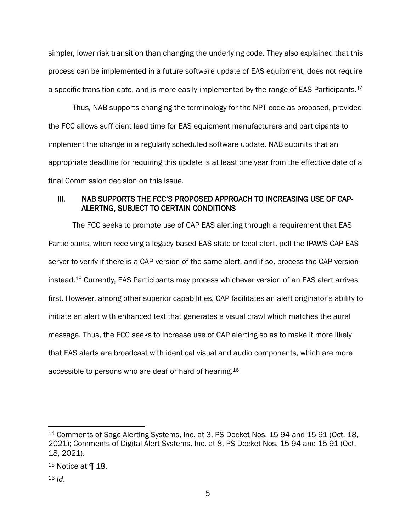simpler, lower risk transition than changing the underlying code. They also explained that this process can be implemented in a future software update of EAS equipment, does not require a specific transition date, and is more easily implemented by the range of EAS Participants.<sup>14</sup>

Thus, NAB supports changing the terminology for the NPT code as proposed, provided the FCC allows sufficient lead time for EAS equipment manufacturers and participants to implement the change in a regularly scheduled software update. NAB submits that an appropriate deadline for requiring this update is at least one year from the effective date of a final Commission decision on this issue.

## III. NAB SUPPORTS THE FCC'S PROPOSED APPROACH TO INCREASING USE OF CAP-ALERTNG, SUBJECT TO CERTAIN CONDITIONS

The FCC seeks to promote use of CAP EAS alerting through a requirement that EAS Participants, when receiving a legacy-based EAS state or local alert, poll the IPAWS CAP EAS server to verify if there is a CAP version of the same alert, and if so, process the CAP version instead.<sup>15</sup> Currently, EAS Participants may process whichever version of an EAS alert arrives first. However, among other superior capabilities, CAP facilitates an alert originator's ability to initiate an alert with enhanced text that generates a visual crawl which matches the aural message. Thus, the FCC seeks to increase use of CAP alerting so as to make it more likely that EAS alerts are broadcast with identical visual and audio components, which are more accessible to persons who are deaf or hard of hearing. 16

<sup>14</sup> Comments of Sage Alerting Systems, Inc. at 3, PS Docket Nos. 15-94 and 15-91 (Oct. 18, 2021); Comments of Digital Alert Systems, Inc. at 8, PS Docket Nos. 15-94 and 15-91 (Oct. 18, 2021).

 $15$  Notice at  $\P$  18.

<sup>16</sup> *Id*.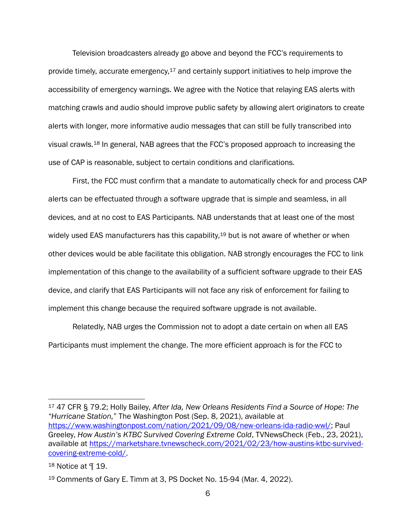Television broadcasters already go above and beyond the FCC's requirements to provide timely, accurate emergency,  $17$  and certainly support initiatives to help improve the accessibility of emergency warnings. We agree with the Notice that relaying EAS alerts with matching crawls and audio should improve public safety by allowing alert originators to create alerts with longer, more informative audio messages that can still be fully transcribed into visual crawls.<sup>18</sup> In general, NAB agrees that the FCC's proposed approach to increasing the use of CAP is reasonable, subject to certain conditions and clarifications.

First, the FCC must confirm that a mandate to automatically check for and process CAP alerts can be effectuated through a software upgrade that is simple and seamless, in all devices, and at no cost to EAS Participants. NAB understands that at least one of the most widely used EAS manufacturers has this capability,<sup>19</sup> but is not aware of whether or when other devices would be able facilitate this obligation. NAB strongly encourages the FCC to link implementation of this change to the availability of a sufficient software upgrade to their EAS device, and clarify that EAS Participants will not face any risk of enforcement for failing to implement this change because the required software upgrade is not available.

Relatedly, NAB urges the Commission not to adopt a date certain on when all EAS Participants must implement the change. The more efficient approach is for the FCC to

<sup>17</sup> 47 CFR § 79.2; Holly Bailey, *After Ida, New Orleans Residents Find a Source of Hope: The "Hurricane Station,*" The Washington Post (Sep. 8, 2021), available at [https://www.washingtonpost.com/nation/2021/09/08/new-orleans-ida-radio-wwl/;](https://www.washingtonpost.com/nation/2021/09/08/new-orleans-ida-radio-wwl/) Paul Greeley, *How Austin's KTBC Survived Covering Extreme Cold*, TVNewsCheck (Feb., 23, 2021), available at [https://marketshare.tvnewscheck.com/2021/02/23/how-austins-ktbc-survived](https://marketshare.tvnewscheck.com/2021/02/23/how-austins-ktbc-survived-covering-extreme-cold/)[covering-extreme-cold/.](https://marketshare.tvnewscheck.com/2021/02/23/how-austins-ktbc-survived-covering-extreme-cold/)

<sup>18</sup> Notice at ¶ 19.

<sup>19</sup> Comments of Gary E. Timm at 3, PS Docket No. 15-94 (Mar. 4, 2022).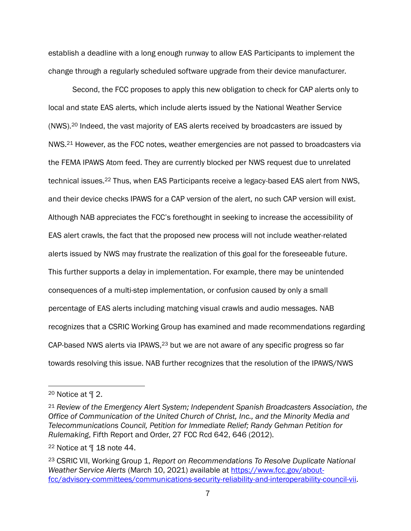establish a deadline with a long enough runway to allow EAS Participants to implement the change through a regularly scheduled software upgrade from their device manufacturer.

Second, the FCC proposes to apply this new obligation to check for CAP alerts only to local and state EAS alerts, which include alerts issued by the National Weather Service (NWS).<sup>20</sup> Indeed, the vast majority of EAS alerts received by broadcasters are issued by NWS.<sup>21</sup> However, as the FCC notes, weather emergencies are not passed to broadcasters via the FEMA IPAWS Atom feed. They are currently blocked per NWS request due to unrelated technical issues.<sup>22</sup> Thus, when EAS Participants receive a legacy-based EAS alert from NWS, and their device checks IPAWS for a CAP version of the alert, no such CAP version will exist. Although NAB appreciates the FCC's forethought in seeking to increase the accessibility of EAS alert crawls, the fact that the proposed new process will not include weather-related alerts issued by NWS may frustrate the realization of this goal for the foreseeable future. This further supports a delay in implementation. For example, there may be unintended consequences of a multi-step implementation, or confusion caused by only a small percentage of EAS alerts including matching visual crawls and audio messages. NAB recognizes that a CSRIC Working Group has examined and made recommendations regarding CAP-based NWS alerts via IPAWS,<sup>23</sup> but we are not aware of any specific progress so far towards resolving this issue. NAB further recognizes that the resolution of the IPAWS/NWS

<sup>20</sup> Notice at ¶ 2.

<sup>21</sup> *Review of the Emergency Alert System; Independent Spanish [Broadcasters](https://advance.lexis.com/api/document/collection/administrative-materials/id/54RV-4FG0-01KR-91T8-00000-00?page=646&reporter=2124&cite=%2027%20FCC%20Rcd%20642&context=1000516) Association, the Office of [Communication](https://advance.lexis.com/api/document/collection/administrative-materials/id/54RV-4FG0-01KR-91T8-00000-00?page=646&reporter=2124&cite=%2027%20FCC%20Rcd%20642&context=1000516) of the United Church of Christ, Inc., and the Minority Media and [Telecommunications](https://advance.lexis.com/api/document/collection/administrative-materials/id/54RV-4FG0-01KR-91T8-00000-00?page=646&reporter=2124&cite=%2027%20FCC%20Rcd%20642&context=1000516) Council, Petition for Immediate Relief; Randy Gehman Petition for [Rulemaking](https://advance.lexis.com/api/document/collection/administrative-materials/id/54RV-4FG0-01KR-91T8-00000-00?page=646&reporter=2124&cite=%2027%20FCC%20Rcd%20642&context=1000516)*, Fifth Report and Order, 27 FCC Rcd 642, 646 (2012).

<sup>22</sup> Notice at ¶ 18 note 44.

<sup>23</sup> CSRIC VII, Working Group 1, *Report on Recommendations To Resolve Duplicate National Weather Service Alerts* (March 10, 2021) available at [https://www.fcc.gov/about](https://www.fcc.gov/about-fcc/advisory-committees/communications-security-reliability-and-interoperability-council-vii)[fcc/advisory-committees/communications-security-reliability-and-interoperability-council-vii.](https://www.fcc.gov/about-fcc/advisory-committees/communications-security-reliability-and-interoperability-council-vii)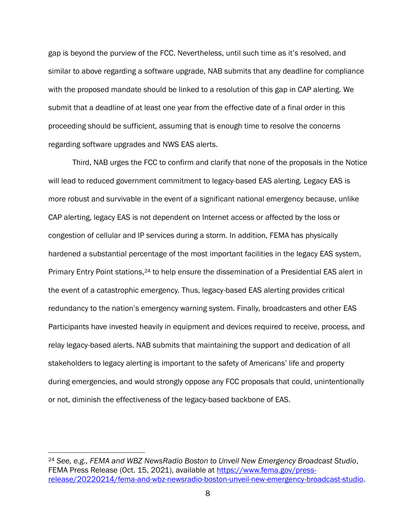gap is beyond the purview of the FCC. Nevertheless, until such time as it's resolved, and similar to above regarding a software upgrade, NAB submits that any deadline for compliance with the proposed mandate should be linked to a resolution of this gap in CAP alerting. We submit that a deadline of at least one year from the effective date of a final order in this proceeding should be sufficient, assuming that is enough time to resolve the concerns regarding software upgrades and NWS EAS alerts.

Third, NAB urges the FCC to confirm and clarify that none of the proposals in the Notice will lead to reduced government commitment to legacy-based EAS alerting. Legacy EAS is more robust and survivable in the event of a significant national emergency because, unlike CAP alerting, legacy EAS is not dependent on Internet access or affected by the loss or congestion of cellular and IP services during a storm. In addition, FEMA has physically hardened a substantial percentage of the most important facilities in the legacy EAS system, Primary Entry Point stations,<sup>24</sup> to help ensure the dissemination of a Presidential EAS alert in the event of a catastrophic emergency. Thus, legacy-based EAS alerting provides critical redundancy to the nation's emergency warning system. Finally, broadcasters and other EAS Participants have invested heavily in equipment and devices required to receive, process, and relay legacy-based alerts. NAB submits that maintaining the support and dedication of all stakeholders to legacy alerting is important to the safety of Americans' life and property during emergencies, and would strongly oppose any FCC proposals that could, unintentionally or not, diminish the effectiveness of the legacy-based backbone of EAS.

<sup>24</sup> *See, e.g., FEMA and WBZ NewsRadio Boston to Unveil New Emergency Broadcast Studio*, FEMA Press Release (Oct. 15, 2021), available at [https://www.fema.gov/press](https://www.fema.gov/press-release/20220214/fema-and-wbz-newsradio-boston-unveil-new-emergency-broadcast-studio)[release/20220214/fema-and-wbz-newsradio-boston-unveil-new-emergency-broadcast-studio.](https://www.fema.gov/press-release/20220214/fema-and-wbz-newsradio-boston-unveil-new-emergency-broadcast-studio)